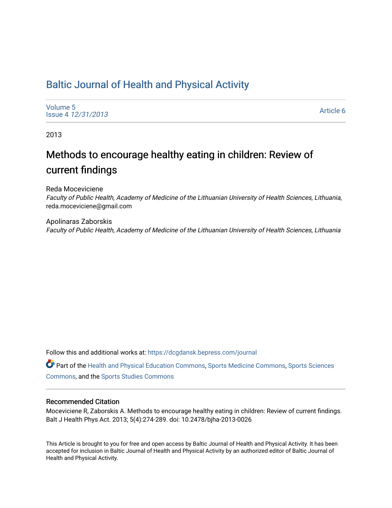# [Baltic Journal of Health and Physical Activity](https://dcgdansk.bepress.com/journal)

[Volume 5](https://dcgdansk.bepress.com/journal/vol5) Issue 4 [12/31/2013](https://dcgdansk.bepress.com/journal/vol5/iss4)

[Article 6](https://dcgdansk.bepress.com/journal/vol5/iss4/6) 

2013

# Methods to encourage healthy eating in children: Review of current findings

Reda Moceviciene Faculty of Public Health, Academy of Medicine of the Lithuanian University of Health Sciences, Lithuania, reda.moceviciene@gmail.com

Apolinaras Zaborskis Faculty of Public Health, Academy of Medicine of the Lithuanian University of Health Sciences, Lithuania

Follow this and additional works at: [https://dcgdansk.bepress.com/journal](https://dcgdansk.bepress.com/journal?utm_source=dcgdansk.bepress.com%2Fjournal%2Fvol5%2Fiss4%2F6&utm_medium=PDF&utm_campaign=PDFCoverPages)

Part of the [Health and Physical Education Commons](http://network.bepress.com/hgg/discipline/1327?utm_source=dcgdansk.bepress.com%2Fjournal%2Fvol5%2Fiss4%2F6&utm_medium=PDF&utm_campaign=PDFCoverPages), [Sports Medicine Commons,](http://network.bepress.com/hgg/discipline/1331?utm_source=dcgdansk.bepress.com%2Fjournal%2Fvol5%2Fiss4%2F6&utm_medium=PDF&utm_campaign=PDFCoverPages) [Sports Sciences](http://network.bepress.com/hgg/discipline/759?utm_source=dcgdansk.bepress.com%2Fjournal%2Fvol5%2Fiss4%2F6&utm_medium=PDF&utm_campaign=PDFCoverPages) [Commons](http://network.bepress.com/hgg/discipline/759?utm_source=dcgdansk.bepress.com%2Fjournal%2Fvol5%2Fiss4%2F6&utm_medium=PDF&utm_campaign=PDFCoverPages), and the [Sports Studies Commons](http://network.bepress.com/hgg/discipline/1198?utm_source=dcgdansk.bepress.com%2Fjournal%2Fvol5%2Fiss4%2F6&utm_medium=PDF&utm_campaign=PDFCoverPages) 

#### Recommended Citation

Moceviciene R, Zaborskis A. Methods to encourage healthy eating in children: Review of current findings. Balt J Health Phys Act. 2013; 5(4):274-289. doi: 10.2478/bjha-2013-0026

This Article is brought to you for free and open access by Baltic Journal of Health and Physical Activity. It has been accepted for inclusion in Baltic Journal of Health and Physical Activity by an authorized editor of Baltic Journal of Health and Physical Activity.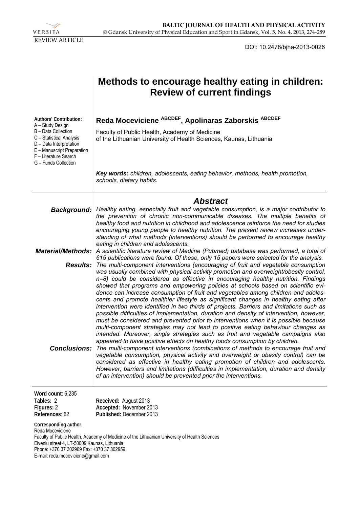

DOI: 10.2478/bjha-2013-0026

|                                                                                                                                                                                                         | Methods to encourage healthy eating in children:<br><b>Review of current findings</b>                                                                                                                                                                                                                                                                                                                                                                                                                                                                                                                                                                                                                                                                                                                           |
|---------------------------------------------------------------------------------------------------------------------------------------------------------------------------------------------------------|-----------------------------------------------------------------------------------------------------------------------------------------------------------------------------------------------------------------------------------------------------------------------------------------------------------------------------------------------------------------------------------------------------------------------------------------------------------------------------------------------------------------------------------------------------------------------------------------------------------------------------------------------------------------------------------------------------------------------------------------------------------------------------------------------------------------|
| Authors' Contribution:<br>A – Study Design<br>B - Data Collection<br>C - Statistical Analysis<br>D - Data Interpretation<br>E - Manuscript Preparation<br>F - Literature Search<br>G - Funds Collection | Reda Moceviciene ABCDEF, Apolinaras Zaborskis ABCDEF<br>Faculty of Public Health, Academy of Medicine<br>of the Lithuanian University of Health Sciences, Kaunas, Lithuania                                                                                                                                                                                                                                                                                                                                                                                                                                                                                                                                                                                                                                     |
|                                                                                                                                                                                                         | Key words: children, adolescents, eating behavior, methods, health promotion,<br>schools, dietary habits.                                                                                                                                                                                                                                                                                                                                                                                                                                                                                                                                                                                                                                                                                                       |
| Background:<br><b>Material/Methods:</b>                                                                                                                                                                 | <b>Abstract</b><br>Healthy eating, especially fruit and vegetable consumption, is a major contributor to<br>the prevention of chronic non-communicable diseases. The multiple benefits of<br>healthy food and nutrition in childhood and adolescence reinforce the need for studies<br>encouraging young people to healthy nutrition. The present review increases under-<br>standing of what methods (interventions) should be performed to encourage healthy<br>eating in children and adolescents.<br>A scientific literature review of Medline (Pubmed) database was performed, a total of                                                                                                                                                                                                                  |
| <b>Results:</b>                                                                                                                                                                                         | 615 publications were found. Of these, only 15 papers were selected for the analysis.<br>The multi-component interventions (encouraging of fruit and vegetable consumption<br>was usually combined with physical activity promotion and overweight/obesity control,<br>n=8) could be considered as effective in encouraging healthy nutrition. Findings<br>showed that programs and empowering policies at schools based on scientific evi-<br>dence can increase consumption of fruit and vegetables among children and adoles-<br>cents and promote healthier lifestyle as significant changes in healthy eating after<br>intervention were identified in two thirds of projects. Barriers and limitations such as<br>possible difficulties of implementation, duration and density of intervention, however, |
| <b>Conclusions:</b>                                                                                                                                                                                     | must be considered and prevented prior to interventions when it is possible because<br>multi-component strategies may not lead to positive eating behaviour changes as<br>intended. Moreover, single strategies such as fruit and vegetable campaigns also<br>appeared to have positive effects on healthy foods consumption by children.<br>The multi-component interventions (combinations of methods to encourage fruit and<br>vegetable consumption, physical activity and overweight or obesity control) can be<br>considered as effective in healthy eating promotion of children and adolescents.<br>However, barriers and limitations (difficulties in implementation, duration and density<br>of an intervention) should be prevented prior the interventions.                                         |
| Word count: 6,235<br>Tables: 2<br>Figures: 2<br>References: 62                                                                                                                                          | Received: August 2013<br>Accepted: November 2013<br>Published: December 2013                                                                                                                                                                                                                                                                                                                                                                                                                                                                                                                                                                                                                                                                                                                                    |
| Corresponding author:<br>Reda Moceviciene<br>Eiveniu street 4, LT-50009 Kaunas, Lithuania                                                                                                               | Faculty of Public Health, Academy of Medicine of the Lithuanian University of Health Sciences                                                                                                                                                                                                                                                                                                                                                                                                                                                                                                                                                                                                                                                                                                                   |

Phone: +370 37 302969 Fax: +370 37 302959

E-mail: reda.moceviciene@gmail.com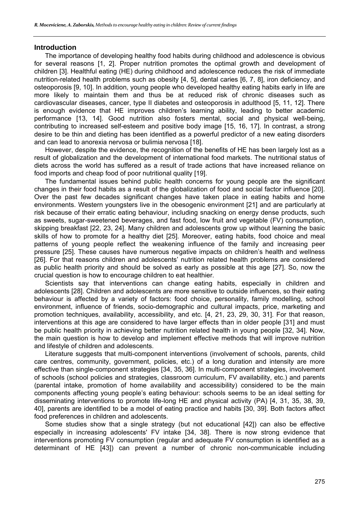#### **Introduction**

The importance of developing healthy food habits during childhood and adolescence is obvious for several reasons [1, 2]. Proper nutrition promotes the optimal growth and development of children [3]. Healthful eating (HE) during childhood and adolescence reduces the risk of immediate nutrition-related health problems such as obesity [4, 5], dental caries [6, 7, 8], iron deficiency, and osteoporosis [9, 10]. In addition, young people who developed healthy eating habits early in life are more likely to maintain them and thus be at reduced risk of chronic diseases such as cardiovascular diseases, cancer, type II diabetes and osteoporosis in adulthood [5, 11, 12]. There is enough evidence that HE improves children's learning ability, leading to better academic performance [13, 14]. Good nutrition also fosters mental, social and physical well-being, contributing to increased self-esteem and positive body image [15, 16, 17]. In contrast, a strong desire to be thin and dieting has been identified as a powerful predictor of a new eating disorders and can lead to anorexia nervosa or bulimia nervosa [18].

However, despite the evidence, the recognition of the benefits of HE has been largely lost as a result of globalization and the development of international food markets. The nutritional status of diets across the world has suffered as a result of trade actions that have increased reliance on food imports and cheap food of poor nutritional quality [19].

The fundamental issues behind public health concerns for young people are the significant changes in their food habits as a result of the globalization of food and social factor influence [20]. Over the past few decades significant changes have taken place in eating habits and home environments. Western youngsters live in the obesogenic environment [21] and are particularly at risk because of their erratic eating behaviour, including snacking on energy dense products, such as sweets, sugar-sweetened beverages, and fast food, low fruit and vegetable (FV) consumption, skipping breakfast [22, 23, 24]. Many children and adolescents grow up without learning the basic skills of how to promote for a healthy diet [25]. Moreover, eating habits, food choice and meal patterns of young people reflect the weakening influence of the family and increasing peer pressure [25]. These causes have numerous negative impacts on children's health and wellness [26]. For that reasons children and adolescents' nutrition related health problems are considered as public health priority and should be solved as early as possible at this age [27]. So, now the crucial question is how to encourage children to eat healthier.

Scientists say that interventions can change eating habits, especially in children and adolescents [28]. Children and adolescents are more sensitive to outside influences, so their eating behaviour is affected by a variety of factors: food choice, personality, family modelling, school environment, influence of friends, socio-demographic and cultural impacts, price, marketing and promotion techniques, availability, accessibility, and etc. [4, 21, 23, 29, 30, 31]. For that reason, interventions at this age are considered to have larger effects than in older people [31] and must be public health priority in achieving better nutrition related health in young people [32, 34]. Now, the main question is how to develop and implement effective methods that will improve nutrition and lifestyle of children and adolescents.

Literature suggests that multi-component interventions (involvement of schools, parents, child care centres, community, government, policies, etc.) of a long duration and intensity are more effective than single-component strategies [34, 35, 36]. In multi-component strategies, involvement of schools (school policies and strategies, classroom curriculum, FV availability, etc.) and parents (parental intake, promotion of home availability and accessibility) considered to be the main components affecting young people's eating behaviour: schools seems to be an ideal setting for disseminating interventions to promote life-long HE and physical activity (PA) [4, 31, 35, 38, 39, 40], parents are identified to be a model of eating practice and habits [30, 39]. Both factors affect food preferences in children and adolescents.

Some studies show that a single strategy (but not educational [42]) can also be effective especially in increasing adolescents' FV intake [34, 38]. There is now strong evidence that interventions promoting FV consumption (regular and adequate FV consumption is identified as a determinant of HE [43]) can prevent a number of chronic non-communicable including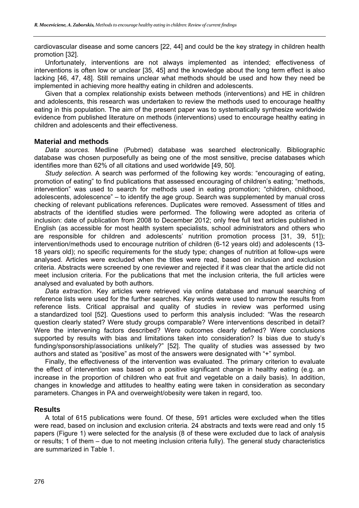cardiovascular disease and some cancers [22, 44] and could be the key strategy in children health promotion [32].

Unfortunately, interventions are not always implemented as intended; effectiveness of interventions is often low or unclear [35, 45] and the knowledge about the long term effect is also lacking [46, 47, 48]. Still remains unclear what methods should be used and how they need be implemented in achieving more healthy eating in children and adolescents.

Given that a complex relationship exists between methods (interventions) and HE in children and adolescents, this research was undertaken to review the methods used to encourage healthy eating in this population. The aim of the present paper was to systematically synthesize worldwide evidence from published literature on methods (interventions) used to encourage healthy eating in children and adolescents and their effectiveness.

## **Material and methods**

*Data sources.* Medline (Pubmed) database was searched electronically. Bibliographic database was chosen purposefully as being one of the most sensitive, precise databases which identifies more than 62% of all citations and used worldwide [49, 50].

*Study selection.* A search was performed of the following key words: "encouraging of eating, promotion of eating" to find publications that assessed encouraging of children's eating; "methods, intervention" was used to search for methods used in eating promotion; "children, childhood, adolescents, adolescence" – to identify the age group. Search was supplemented by manual cross checking of relevant publications references. Duplicates were removed. Assessment of titles and abstracts of the identified studies were performed. The following were adopted as criteria of inclusion: date of publication from 2008 to December 2012; only free full text articles published in English (as accessible for most health system specialists, school administrators and others who are responsible for children and adolescents' nutrition promotion process [31, 39, 51]); intervention/methods used to encourage nutrition of children (6-12 years old) and adolescents (13- 18 years old); no specific requirements for the study type; changes of nutrition at follow-ups were analysed. Articles were excluded when the titles were read, based on inclusion and exclusion criteria. Abstracts were screened by one reviewer and rejected if it was clear that the article did not meet inclusion criteria. For the publications that met the inclusion criteria, the full articles were analysed and evaluated by both authors.

*Data extraction.* Key articles were retrieved via online database and manual searching of reference lists were used for the further searches. Key words were used to narrow the results from reference lists. Critical appraisal and quality of studies in review was performed using a standardized tool [52]. Questions used to perform this analysis included: "Was the research question clearly stated? Were study groups comparable? Were interventions described in detail? Were the intervening factors described? Were outcomes clearly defined? Were conclusions supported by results with bias and limitations taken into consideration? Is bias due to study's funding/sponsorship/associations unlikely?" [52]. The quality of studies was assessed by two authors and stated as "positive" as most of the answers were designated with "+" symbol.

Finally, the effectiveness of the intervention was evaluated. The primary criterion to evaluate the effect of intervention was based on a positive significant change in healthy eating (e.g. an increase in the proportion of children who eat fruit and vegetable on a daily basis). In addition, changes in knowledge and attitudes to healthy eating were taken in consideration as secondary parameters. Changes in PA and overweight/obesity were taken in regard, too.

# **Results**

A total of 615 publications were found. Of these, 591 articles were excluded when the titles were read, based on inclusion and exclusion criteria. 24 abstracts and texts were read and only 15 papers (Figure 1) were selected for the analysis (8 of these were excluded due to lack of analysis or results; 1 of them – due to not meeting inclusion criteria fully). The general study characteristics are summarized in Table 1.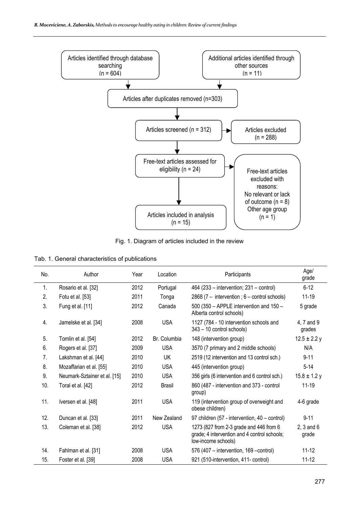

Fig. 1. Diagram of articles included in the review

| Tab. 1. General characteristics of publications |  |  |
|-------------------------------------------------|--|--|
|-------------------------------------------------|--|--|

| No. | Author                       | Year | Location      | Participants                                                                                                   | Age/<br>grade           |
|-----|------------------------------|------|---------------|----------------------------------------------------------------------------------------------------------------|-------------------------|
| 1.  | Rosario et al. [32]          | 2012 | Portugal      | 464 (233 – intervention; 231 – control)                                                                        | $6 - 12$                |
| 2.  | Fotu et al. [53]             | 2011 | Tonga         | 2868 (7 - intervention ; 6 - control schools)                                                                  | $11 - 19$               |
| 3.  | Fung et al. [11]             | 2012 | Canada        | 500 (350 - APPLE intervention and 150 -<br>Alberta control schools)                                            | 5 grade                 |
| 4.  | Jamelske et al. [34]         | 2008 | <b>USA</b>    | 1127 (784 - 10 intervention schools and<br>343 - 10 control schools)                                           | 4, 7 and 9<br>grades    |
| 5.  | Tomlin et al. [54]           | 2012 | Br. Columbia  | 148 (intervention group)                                                                                       | $12.5 \pm 2.2$ y        |
| 6.  | Rogers et al. [37]           | 2009 | <b>USA</b>    | 3570 (7 primary and 2 middle schools)                                                                          | N/A                     |
| 7.  | Lakshman et al. [44]         | 2010 | UK            | 2519 (12 intervention and 13 control sch.)                                                                     | $9 - 11$                |
| 8.  | Mozaffarian et al. [55]      | 2010 | <b>USA</b>    | 445 (intervention group)                                                                                       | $5 - 14$                |
| 9.  | Neumark-Sztainer et al. [15] | 2010 | <b>USA</b>    | 356 girls (6 intervention and 6 control sch.)                                                                  | $15.8 \pm 1.2$ y        |
| 10. | Toral et al. [42]            | 2012 | <b>Brasil</b> | 860 (487 - intervention and 373 - control<br>group)                                                            | $11 - 19$               |
| 11. | Iversen et al. [48]          | 2011 | <b>USA</b>    | 119 (intervention group of overweight and<br>obese children)                                                   | 4-6 grade               |
| 12. | Duncan et al. [33]           | 2011 | New Zealand   | 97 children (57 - intervention, 40 - control)                                                                  | $9 - 11$                |
| 13. | Coleman et al. [38]          | 2012 | <b>USA</b>    | 1273 (827 from 2-3 grade and 446 from 6<br>grade; 4 intervention and 4 control schools;<br>low-income schools) | $2, 3$ and $6$<br>grade |
| 14. | Fahlman et al. [31]          | 2008 | <b>USA</b>    | 576 (407 – intervention, 169 – control)                                                                        | $11 - 12$               |
| 15. | Foster et al. [39]           | 2008 | <b>USA</b>    | 921 (510-intervention, 411- control)                                                                           | $11 - 12$               |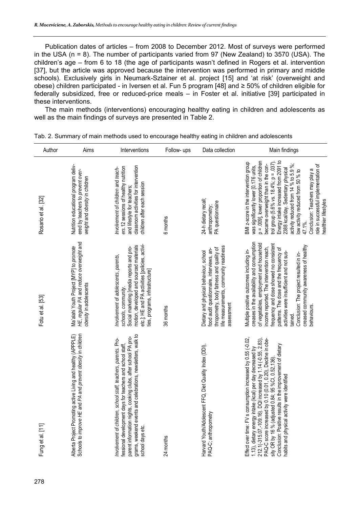Publication dates of articles – from 2008 to December 2012. Most of surveys were performed in the USA (n = 8). The number of participants varied from 97 (New Zealand) to 3570 (USA). The children's age – from 6 to 18 (the age of participants wasn't defined in Rogers et al. intervention [37], but the article was approved because the intervention was performed in primary and middle schools). Exclusively girls in Neumark-Sztainer et al. project [15] and 'at risk' (overweight and obese) children participated - in Iversen et al. Fun 5 program [48] and ≥ 50% of children eligible for federally subsidized, free or reduced-price meals – in Foster et al. initiative [39] participated in these interventions.

The main methods (interventions) encouraging healthy eating in children and adolescents as well as the main findings of surveys are presented in Table 2.

| Author              | Aims                                                                                                                         | Interventions                                                                                                                                                                                                                                                                     | Follow- ups | Data collection                                                                                                                                                                        | Main findings                                                                                                                                                                                                                                                                                                                                                                                                                                                                   |
|---------------------|------------------------------------------------------------------------------------------------------------------------------|-----------------------------------------------------------------------------------------------------------------------------------------------------------------------------------------------------------------------------------------------------------------------------------|-------------|----------------------------------------------------------------------------------------------------------------------------------------------------------------------------------------|---------------------------------------------------------------------------------------------------------------------------------------------------------------------------------------------------------------------------------------------------------------------------------------------------------------------------------------------------------------------------------------------------------------------------------------------------------------------------------|
| Rosario et al. [32] | Nutrition educational program deliv-<br>ered by teachers to prevent over-<br>weight and obesity in children                  | classroom activities for intervention<br>ers. 12 sessions of healthy nutrition<br>Involvement of children and teach-<br>children after each session<br>and lifestyle for teachers;                                                                                                | 6 months    | 24-h dietary recall<br>PA questionnaire<br>anthropometry;                                                                                                                              | Energy intake increased from 2091 to<br>p = .009], lower proportion of children<br>BMI z-score in the intervention group<br>trol group (5.6% vs. 18.4%; p = .037)<br>activity reduced from 14 % to 5.9 %;<br>became overweight than in the con-<br>role in successful implementation of<br>was significantly lower [0.176 units,<br>2388 kcal/day. Sedentary physical<br>Conclusion: Teachers may play a<br>low activity reduced from 50 % to<br>healthier lifestyles<br>47.1%. |
| Fotu et al. [53]    | HE, regular PA and reduce overweight and<br>Ma'alahi Youth Project [MYP] to promote<br>obesity in adolescents                | etc.]; HE and PA activities [policies, activi-<br>motion, developed and sourced materials<br>Social marketing [media reports and pro-<br>Involvement of adolescents, parents,<br>ies, programs, infrastructure]<br>schools, community.                                            | 36 months   | ife measurements, community readiness<br>thropometry, body fatness and quality of<br>food audit questionnaire, interviews, an-<br>Dietary and physical behaviour, school<br>assessment | creases in the availability and consumption<br>of vegetables, employment and household<br>frequency and dose showed no consistent<br>creased community awareness of healthy<br>income reported. The intervention reach,<br>patterns. The dose and the frequency of<br>Multiple positive outcomes including in-<br>activities were insufficient and not sus-<br>Conclusion: The project resulted in in-<br>behaviours.<br>tained.                                                |
| Fung et al. [11]    | Schools to improve HE and PA and prevent obesity in children<br>Alberta Project Promoting active Living and healthy (APPPLE) | grams, weekend events and celebrations, newsletters, walk to<br>parent information nights, cooking clubs, after school PA pro-<br>Involvement of children, school staff, teachers, parents. Pro-<br>fessional development days for teachers and school staff,<br>school days etc. | 24 months   | Harvard Youth/Adolescent FFQ, Diet Quality Index (DDI),<br>PAQ-C; anthropometry                                                                                                        | Effect over time: FV s consumption increased by 0.55 (-0.02,<br>PAQ-C score increased by 0.10 (0.01, 0.20), Decline in obe-<br>1.13), dietary energy intake (kcal) per day decreased by<br>212.1(-315.07,-109.16). DQI increased by 1.14 (-0.55, 2.83),<br>Conclusion: Positive results in the improvement of dietary<br>sity OR by 16 % (adjusted 0.84; 95 %Cl, 0.52, 136).<br>habits and physical activity were identified                                                    |

| Tab. 2. Summary of main methods used to encourage healthy eating in children and adolescents |  |
|----------------------------------------------------------------------------------------------|--|
|----------------------------------------------------------------------------------------------|--|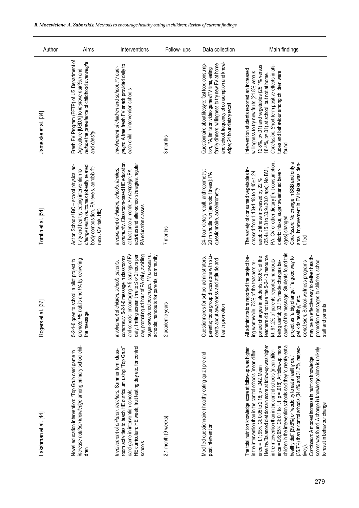| Author                       | Aims                                                                                                                                                                                                | Interventions                                                                                                                                                                                                                                                                                                                           | Follow- ups         | Data collection                                                                                                                                                                                                                              | Main findings                                                                                                                                                                                                                                                                                                                                                                                                                                                                                                                                                                                                                                                                                                                                                 |
|------------------------------|-----------------------------------------------------------------------------------------------------------------------------------------------------------------------------------------------------|-----------------------------------------------------------------------------------------------------------------------------------------------------------------------------------------------------------------------------------------------------------------------------------------------------------------------------------------|---------------------|----------------------------------------------------------------------------------------------------------------------------------------------------------------------------------------------------------------------------------------------|---------------------------------------------------------------------------------------------------------------------------------------------------------------------------------------------------------------------------------------------------------------------------------------------------------------------------------------------------------------------------------------------------------------------------------------------------------------------------------------------------------------------------------------------------------------------------------------------------------------------------------------------------------------------------------------------------------------------------------------------------------------|
|                              |                                                                                                                                                                                                     |                                                                                                                                                                                                                                                                                                                                         |                     |                                                                                                                                                                                                                                              |                                                                                                                                                                                                                                                                                                                                                                                                                                                                                                                                                                                                                                                                                                                                                               |
| Jamelske et al. [34]         | Fresh FV Program (FFTP) of US Department of<br>reduce the prevalence of childhood overweight<br>Agriculture [USDA] to improve nutrition and<br>and obesity                                          | paign: A free fresh FV snack provided daily to<br>Involvement of children and school: FV cam-<br>each child in intervention schools                                                                                                                                                                                                     | 3 months            | and school, frequency of consumption and knowl-<br>family dinners; willingness to try new FV at home<br>Questionnaire about lifestyle: fast food consump-<br>tion, PA, limits on video games/TV time, eating<br>edge; 24 hour dietary recall | Conclusion: Short-term positive effects in atti-<br>12.8%, p<.01) and vegetables (25.1% versus<br>Intervention students reported an increased<br>willingness to try new fruits (24.8% versus<br>tudes and behaviour among children were<br>18.4%, p=.01) at school, but not at home.<br>found                                                                                                                                                                                                                                                                                                                                                                                                                                                                 |
| Tomlin et al. [54]           | Action Schools! BC - school physical ac-<br>change health outcomes (obesity related<br>body composition, PA levels, aerobic fit-<br>tivity and healthy eating intervention to<br>ness, CV risk, HE) | community. Classroom-based HE education<br>activities and after-school strategies, regular<br>Involvement of children, schools, families,<br>at least once a month; FV campaign; PA<br>PA education classes                                                                                                                             | 7 months            | 24- hour dietary recall, anthropometry;<br>20 m shuttle run [aerobic fitness]; PA<br>questionnaire, accelerometry                                                                                                                            | PA, CV or other dietary [fruit consumption,<br>Conclusion: No change in SSB and only a<br>small improvement in FV intake was iden-<br>The variety of consumed vegetables in-<br>(25.4±15.8 to 30.9±20.0 laps); No BMI,<br>caloric intake, sugar sweetened bever-<br>creased from $1.10 \pm 1.18$ to $1.45 \pm 1.24$ ;<br>aerobic fitness increased by 22 %<br>ages] changed<br>tified                                                                                                                                                                                                                                                                                                                                                                         |
| $\boxed{37}$<br>Rogers et al | promote HE habits and PA by delivering<br>5-2-1-0 goes to school: a pilot project to<br>the message                                                                                                 | sugar-sweetened beverages; FV provision at<br>and schools: encouraging ≥ 5 servings of FV<br>day, promoting ≥1 hour of PA daily, avoiding<br>daily, limiting screen time to $\leq$ or 2 hours per<br>schools; handouts for parents, community<br>community. 5-2-1-0 message in classrooms<br>Involvement of children, schools, parents, | 2 academic years    | parents; focus group discussions with stu-<br>Questionnaires for school administrators,<br>dents about awareness and attitude and<br>health promotion                                                                                        | cause of the message. Students found this<br>teachers did not use the 5-2-1-0 resource<br>may be an effective way to deliver health-<br>ported changes in students; 56.6% of the<br>All administrators reported the project be-<br>project as "a big change," "a good way to<br>promotion messages to children, school<br>kit. 91.2% of parents reported handouts<br>being useful; 33.1% made changes be-<br>Conclusion: School-wellness programs<br>ing worthwhile. 73% of the teachers re-<br>get kids healthy," etc.<br>staff and parents                                                                                                                                                                                                                  |
| Lakshman et al. [44]         | increase nutrition knowledge among primary school chil-<br>Novel education intervention: "Top Grub card game to<br>dren                                                                             | HE curriculum: HE week, fruit testing day etc. for control<br>room activities to teach HE curriculum using "Top Grub"<br>Involvement of children, teachers. Summer term class-<br>card game in intervention schools.<br>schools                                                                                                         | 2.1 month (9 weeks) | Modified questionnaire ('healthy eating quiz') pre and<br>post intervention                                                                                                                                                                  | children in the intervention schools said they "currently eat a<br>Healthy/Balanced diet domain score at follow-up was higher<br>ence = 0.6; 95% Cl: 0.1 to 1.1; p = .018). At follow-up, more<br>$(35.7\%)$ than in control schools $(34.4\%$ and $31.7\%$ , respec-<br>scores was found. A change in knowledge alone is unlikely<br>The total nutrition knowledge score at follow-up was higher<br>in the intervention than in the control schools (mean differ-<br>in the intervention than in the control schools [mean differ-<br>healthy diet" [39.6%] or "would try to eat a healthy diet"<br>Conclusion: A modest increase in nutrition knowledge<br>ence = 1.1; 95% CI: 0.05 to 2.16; $p = .042$ . Mean<br>to result in behaviour change<br>tively). |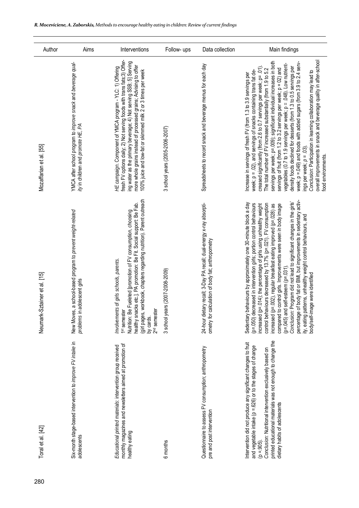| Author                       | Aims                                                                                                | Interventions                                                                                                                                                                                                                                                                                                                                | Follow- ups                     | Data collection                                                                                                           | Main findings                                                                                                                                                                                                                                                                                                                                                                                                                                                                                                                                                                                                                                                                                                                                                                                                                        |
|------------------------------|-----------------------------------------------------------------------------------------------------|----------------------------------------------------------------------------------------------------------------------------------------------------------------------------------------------------------------------------------------------------------------------------------------------------------------------------------------------|---------------------------------|---------------------------------------------------------------------------------------------------------------------------|--------------------------------------------------------------------------------------------------------------------------------------------------------------------------------------------------------------------------------------------------------------------------------------------------------------------------------------------------------------------------------------------------------------------------------------------------------------------------------------------------------------------------------------------------------------------------------------------------------------------------------------------------------------------------------------------------------------------------------------------------------------------------------------------------------------------------------------|
| Mozaffarian et al. [55]      | YMCA after school program to improve snack and beverage qual-<br>ity in children and promote HE, PA | fresh FV options daily; 2) Not serving foods with trans fats;3) Offer-<br>ing water as the primary beverage; 4) Not serving SSB; 5] Serving<br>more whole grains instead of processed grains; Advising to offer<br>100% juice and low-fat or skimmed milk 2 or 3 times per week<br>HE campaign. Component of YMCA program - YLC: 1) Offering | 3 school years (2005-2006-2007) | Spreadsheets to record snack and beverage menus for each day                                                              | overall improvements in snack and beverage quality in after-school<br>servings per week; p=.009); significant individual increases in both<br>servings of fruit (from 1.2 to 3.2 servings per week; p = 02) and<br>density foods declined for desserts (from 1.3 to 0.5 servings per<br>week; p =.049) and foods with added sugars (from 3.9 to 2.4 serv-<br>vegetables (0.7 to 1.9 servings per week; p = .048). Low nutrient-<br>week; p = .02), and servings of snacks containing trans fat de-<br>creased significantly (from 2.6 to 0.7 servings per week; p=.01).<br>The total number of FV increased substantially (from 1.9 to 5.2<br>Conclusion: Participation in learning collaboration may lead to<br>Increase in servings of fresh FV (from 1.3 to 3.9 servings per<br>ings per week; $p = .03$ ).<br>food environments. |
| Neumark-Sztainer et al. [15] | a school-based program to prevent weight-related<br>adolescent girls<br>New Moves<br>problems in    | (girl pages, workbook, chapters regarding nutrition). Parent outreach<br>healthy snacks etc.]. PA promotion: Be Fit. Social support: Be Fab.<br>Nutrition: Be Fueleted [promotion of FV consumption, choosing<br>Involvements of girls schools, parents.<br>1 <sup>st</sup> semester<br>2 <sup>nd</sup> semeste<br>by cards.                 | 3 school years (2007-2008-2009) | 24-hour dietary recall; 3-Day PA recall; dual-energy x-ray absorpti-<br>ometry for calculation of body fat; anthropometry | percentage of body fat or BMI, but improvements in sedentary activ-<br>Program did not lead to significant changes in the girls'<br>Sedentary behaviours by approximately one 30-minute block a day<br>(p=.050) decreased in intervention girls; portion control behaviours<br>control behaviours decreased by 13.7% (p=.021). FV consumption<br>increased (p=.014); the percentage of girls using unhealthy weight<br>increased (p=.002), regular breakfast eating improved (p=.028) as<br>compared to control girls. Improvements were seen in body image<br>ity, eating patterns, unhealthy weight control behaviours, and<br>body/self-image were identified<br>$(p=045)$ and self-esteem $(p=031)$<br>Conclusion:                                                                                                               |
| Toral et al. [42]            | Six-month stage-based intervention to improve FV intake in<br>adolescents                           | monthly magazines and newsletters aimed at promotion of<br>Educational printed materials: intervention group received<br>healthy eating                                                                                                                                                                                                      | 6 months                        | Questionnaire to assess FV consumption; anthropometry<br>pre and post intervention                                        | printed educational materials was not enough to change the<br>Intervention did not produce any significant changes to fruit<br>and vegetable intake (p = .626) or to the stages of change<br>Conclusion: Nutritional intervention exclusively based on<br>dietary habits of adolescents<br>$(p = 905)$ .                                                                                                                                                                                                                                                                                                                                                                                                                                                                                                                             |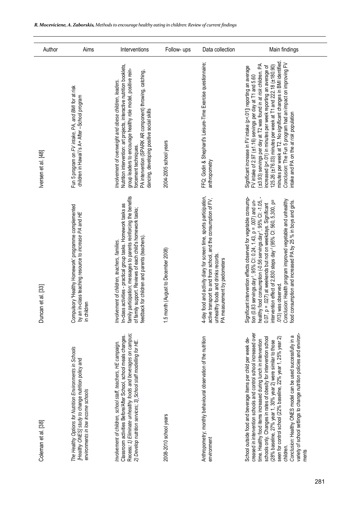| Author              | Aims                                                                                                                                                   | Interventions                                                                                                                                                                                                                                                                                                                       | Follow- ups                         | Data collection                                                                                                                                                                                                | Main findings                                                                                                                                                                                                                                                                                                                                                                                                                                                                                                                                                              |
|---------------------|--------------------------------------------------------------------------------------------------------------------------------------------------------|-------------------------------------------------------------------------------------------------------------------------------------------------------------------------------------------------------------------------------------------------------------------------------------------------------------------------------------|-------------------------------------|----------------------------------------------------------------------------------------------------------------------------------------------------------------------------------------------------------------|----------------------------------------------------------------------------------------------------------------------------------------------------------------------------------------------------------------------------------------------------------------------------------------------------------------------------------------------------------------------------------------------------------------------------------------------------------------------------------------------------------------------------------------------------------------------------|
| Iversen et al. [48] | Fun 5 program on FV intake, PA, and BMI for at risk<br>children in Hawai'i's A+ After -School program                                                  | Nutrition intervention: art projects, interactive nutrition booklets,<br>group leaders to encourage healthy role model, positive rein-<br>PA intervention (SPARK AR component) throwing, catching,<br>Involvement of overweight and obese children, leaders.<br>dancing, developing positive social skills<br>forcement techniques. | 2004-2005 school years              | FFQ; Godin & Shephard's Leisure-Time Exercise questionnaire;<br>anthropometry                                                                                                                                  | minutes per week at T2. No significant changes in BMI identified<br>Conclusion: The Fun 5 program had an impact on improving FV<br>(±3.93) servings per day at T2 was found in at risk children. PA<br>125.26 (±76.03) minutes per week at T1 and 222.18 (±180.90)<br>increased (p<.01) in minutes per week reporting an average of<br>Significant increase in FV intake (p<.01]) reporting an average<br>FV intake of 2.97 (±1.16) servings per day at T1 and 5.60<br>intake and PA on the at risk population                                                             |
| Duncan et al. [33]  | Compulsory 'Healthy Homework' programme complemented<br>by an in-class teaching resource to increase PA and HE<br>in children                          | family participation; messages to parents reinforcing the benefits<br>In-class activities - practical group tasks. Homework tasks as<br>of family support. Reviews of each child's homework tasks;<br>feedback for children and parents (teachers)<br>Involvement of children, teachers, families.                                  | 1.5 month (August to December 2008) | 4-day food and activity diary for screen time, sports participation,<br>active transport to and from school, and the consumption of FV,<br>unhealthy foods and drinks records.<br>PA measurement by pedometers | Significant intervention effects observed for vegetable consump-<br>tion (0.83 servings.day <sup>-1</sup> , 95% Cl: 0.24, 1.43, p = .007) and un-<br>healthy food consumption (-0.56 servings.day <sup>-1</sup> , 95% Cl: -1.05,<br>Conclusion: Health program improved vegetable and unhealthy<br>intervention effect of 2,830 steps day <sup>-1</sup> (95% Cl: 560, 5,300, p=<br>food consumption and increased PA by 25 % in boys and girls.<br>= .027) at weekends but not on weekdays. Significant<br>.013) was observed.<br>0.07, p                                  |
| Coleman et al. [38] | The Healthy Options for Nutrition Environments in Schools<br>[Healthy ONES] study to change nutrition policy and<br>environments in low income schools | Recess: 1) Eliminate unhealthy foods and beverages on campus;<br>2) Develop nutrition services; 3) School staff modelling for HE.<br>Classroom activities Before/After School, school meals changes.<br>Involvement of children, school staff, teachers, HE campaign.                                                               | 2008-2010 school years              | Anthropometry; monthly behavioural observation of the nutrition<br>environment                                                                                                                                 | creased in intervention schools and control school increased over<br>variety of school settings to change nutrition policies and environ-<br>Conclusion: Healthy ONES model can be used successfully in a<br>seen for control school (22% baseline, 22% year 1, 25% year 2)<br>schools only. Changes in rates of obesity for intervention school<br>School outside food and beverage items per child per week de-<br>time. Healthy food items increased during lunch in intervention<br>(28% baseline, 27% year 1, 30% year 2) were similar to those<br>children.<br>ments |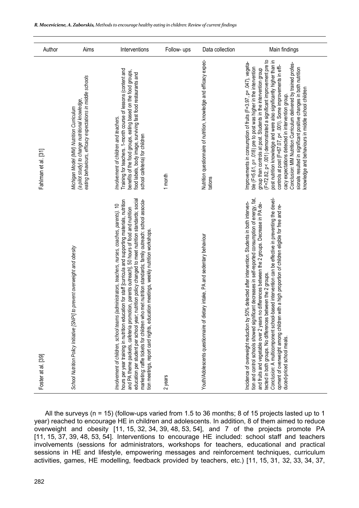| Author              | Aims                                                                                                                                                       | Interventions                                                                                                                                                                                                                                                                                                                                                                                                                                                                                                                                                                                                         | Follow- ups | Data collection                                                                | Main findings                                                                                                                                                                                                                                                                                                                                                                                                                                                                                                                                                                                                                                                              |
|---------------------|------------------------------------------------------------------------------------------------------------------------------------------------------------|-----------------------------------------------------------------------------------------------------------------------------------------------------------------------------------------------------------------------------------------------------------------------------------------------------------------------------------------------------------------------------------------------------------------------------------------------------------------------------------------------------------------------------------------------------------------------------------------------------------------------|-------------|--------------------------------------------------------------------------------|----------------------------------------------------------------------------------------------------------------------------------------------------------------------------------------------------------------------------------------------------------------------------------------------------------------------------------------------------------------------------------------------------------------------------------------------------------------------------------------------------------------------------------------------------------------------------------------------------------------------------------------------------------------------------|
| Fahlman et al. [31] | eating behaviours, efficacy expectations in middle schools<br>(a pilot study) to change nutritional knowledge,<br>Michigan Model (MM) Nutrition Curriculum | Training for teachers. 1-month course of lessons (content and<br>benefits of the food groups, eating based on the food groups,<br>food labels, body image, surviving fast food restaurants and<br>involvement of children and teachers.<br>school cafeteria) for children                                                                                                                                                                                                                                                                                                                                             | 1 month     | Nutrition questionnaire of nutrition, knowledge and efficacy expec-<br>tations | (F=72.82, p< .001) demonstrated a significant improvement pre to<br>post nutrition knowledge and were also significantly higher than in<br>controls at post (F=67.07, p< .001). Some improvements in effi-<br>Improvements in consumption of fruits (F=3.97, p= .047), vegeta-<br>Conclusion: MM Nutrition Curriculum delivered by trained profes-<br>sionals resulted in significant positive changes in both nutrition<br>ble (F=5.61, p= .018) pre to post was higher in the intervention<br>group than controls at post. Students in the intervention group<br>knowledge and behaviours in middle school children<br>cacy expectations detected in intervention group. |
| Foster at al. [39]  | to prevent overweight and obesity<br>School Nutrition Policy Initiative [SNPI]                                                                             | nutrition policy changed to meet nutrition standards; social<br>hours per year training in nutrition education for staff [curricula and supporting materials, nutrition<br>and PA therne packets, cafeteria promotion, parents outreach], 50 hours of food and nutrition<br>marketing: raffle tickets for children who met nutrition standards; family outreach: school associa-<br>administrators, teachers, nurses, coaches, parents). 10<br>tion meetings, report card nights, education meetings, weekly nutrition workshops<br>education per student per school year;<br>Involvement of children, school teams ( | 2 years     | Youth/Adolescents questionnaire of dietary intake, PA and sedentary behaviour  | tion and control schools showed significant decreases in self-reported consumption of energy, fat,<br>Conclusion: A multicomponent school-based intervention can be effective in preventing the devel-<br>% detected after intervention. Students in both interven-<br>and fruits and vegetable over 2 years no differences between the 2 groups. Decrease in PA de-<br>opment of overweight among children with a high proportion of children eligible for free and re-<br>tected in both groups. No differences between the 2 groups.<br>Incidence of overweight reduction by 50<br>duced-priced school meals.                                                           |

All the surveys (n = 15) (follow-ups varied from 1.5 to 36 months; 8 of 15 projects lasted up to 1 year) reached to encourage HE in children and adolescents. In addition, 8 of them aimed to reduce overweight and obesity [11, 15, 32, 34, 39, 48, 53, 54], and 7 of the projects promote PA [11, 15, 37, 39, 48, 53, 54]. Interventions to encourage HE included: school staff and teachers involvements (sessions for administrators, workshops for teachers, educational and practical sessions in HE and lifestyle, empowering messages and reinforcement techniques, curriculum activities, games, HE modelling, feedback provided by teachers, etc.) [11, 15, 31, 32, 33, 34, 37,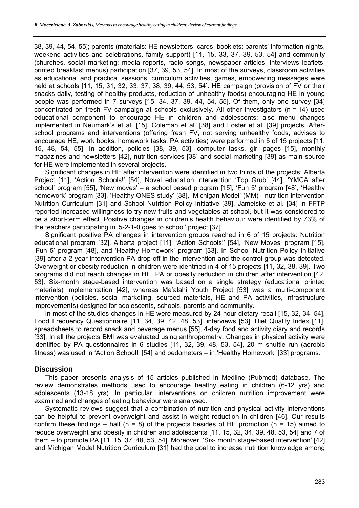38, 39, 44, 54, 55]; parents (materials: HE newsletters, cards, booklets; parents' information nights, weekend activities and celebrations, family support) [11, 15, 33, 37, 39, 53, 54] and community (churches, social marketing: media reports, radio songs, newspaper articles, interviews leaflets, printed breakfast menus) participation [37, 39, 53, 54]. In most of the surveys, classroom activities as educational and practical sessions, curriculum activities, games, empowering messages were held at schools [11, 15, 31, 32, 33, 37, 38, 39, 44, 53, 54]. HE campaign (provision of FV or their snacks daily, testing of healthy products, reduction of unhealthy foods) encouraging HE in young people was performed in 7 surveys [15, 34, 37, 39, 44, 54, 55]. Of them, only one survey [34] concentrated on fresh FV campaign at schools exclusively. All other investigators (n = 14) used educational component to encourage HE in children and adolescents; also menu changes implemented in Neumark's et al. [15], Coleman et al. [38] and Foster et al. [39] projects. Afterschool programs and interventions (offering fresh FV, not serving unhealthy foods, advises to encourage HE, work books, homework tasks, PA activities) were performed in 5 of 15 projects [11, 15, 48, 54, 55]. In addition, policies [38, 39, 53], computer tasks, girl pages [15], monthly magazines and newsletters [42], nutrition services [38] and social marketing [39] as main source for HE were implemented in several projects.

Significant changes in HE after intervention were identified in two thirds of the projects: Alberta Project [11], 'Action Schools!' [54], Novel education intervention 'Top Grub' [44], 'YMCA after school' program [55], 'New moves' – a school based program [15], 'Fun 5' program [48], 'Healthy homework' program [33], 'Healthy ONES study' [38], 'Michigan Model' (MM) - nutrition intervention Nutrition Curriculum [31] and School Nutrition Policy Initiative [39]. Jamelske et al. [34] in FFTP reported increased willingness to try new fruits and vegetables at school, but it was considered to be a short-term effect. Positive changes in children's health behaviour were identified by 73% of the teachers participating in '5-2-1-0 goes to school' project [37].

Significant positive PA changes in intervention groups reached in 6 of 15 projects: Nutrition educational program [32], Alberta project [11], 'Action Schools!' [54], 'New Moves' program [15], 'Fun 5' program [48], and 'Healthy Homework' program [33]. In School Nutrition Policy Initiative [39] after a 2-year intervention PA drop-off in the intervention and the control group was detected. Overweight or obesity reduction in children were identified in 4 of 15 projects [11, 32, 38, 39]. Two programs did not reach changes in HE, PA or obesity reduction in children after intervention [42, 53]. Six-month stage-based intervention was based on a single strategy (educational printed materials) implementation [42], whereas Ma'alahi Youth Project [53] was a multi-component intervention (policies, social marketing, sourced materials, HE and PA activities, infrastructure improvements) designed for adolescents, schools, parents and community.

In most of the studies changes in HE were measured by 24-hour dietary recall [15, 32, 34, 54], Food Frequency Questionnaire [11, 34, 39, 42, 48, 53], interviews [53], Diet Quality Index [11], spreadsheets to record snack and beverage menus [55], 4-day food and activity diary and records [33]. In all the projects BMI was evaluated using anthropometry. Changes in physical activity were identified by PA questionnaires in 6 studies [11, 32, 39, 48, 53, 54], 20 m shuttle run (aerobic fitness) was used in 'Action School!' [54] and pedometers – in 'Healthy Homework' [33] programs.

# **Discussion**

This paper presents analysis of 15 articles published in Medline (Pubmed) database. The review demonstrates methods used to encourage healthy eating in children (6-12 yrs) and adolescents (13-18 yrs). In particular, interventions on children nutrition improvement were examined and changes of eating behaviour were analysed.

Systematic reviews suggest that a combination of nutrition and physical activity interventions can be helpful to prevent overweight and assist in weight reduction in children [46]. Our results confirm these findings – half ( $n = 8$ ) of the projects besides of HE promotion ( $n = 15$ ) aimed to reduce overweight and obesity in children and adolescents [11, 15, 32, 34, 39, 48, 53, 54] and 7 of them – to promote PA [11, 15, 37, 48, 53, 54]. Moreover, 'Six- month stage-based intervention' [42] and Michigan Model Nutrition Curriculum [31] had the goal to increase nutrition knowledge among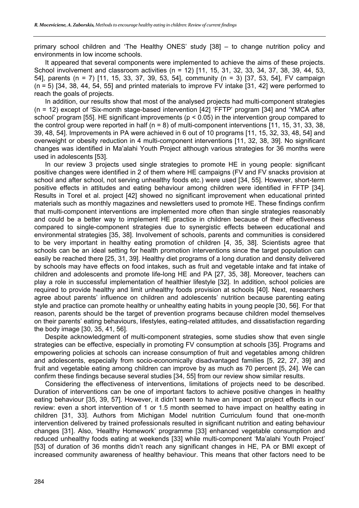primary school children and 'The Healthy ONES' study [38] – to change nutrition policy and environments in low income schools.

It appeared that several components were implemented to achieve the aims of these projects. School involvement and classroom activities (n = 12) [11, 15, 31, 32, 33, 34, 37, 38, 39, 44, 53, 54], parents (n = 7) [11, 15, 33, 37, 39, 53, 54], community (n = 3) [37, 53, 54], FV campaign  $(n = 5)$  [34, 38, 44, 54, 55] and printed materials to improve FV intake [31, 42] were performed to reach the goals of projects.

In addition, our results show that most of the analysed projects had multi-component strategies (n = 12) except of 'Six-month stage-based intervention [42] 'FFTP' program [34] and 'YMCA after school' program [55]. HE significant improvements ( $p < 0.05$ ) in the intervention group compared to the control group were reported in half  $(n = 8)$  of multi-component interventions [11, 15, 31, 33, 38, 39, 48, 54]. Improvements in PA were achieved in 6 out of 10 programs [11, 15, 32, 33, 48, 54] and overweight or obesity reduction in 4 multi-component interventions [11, 32, 38, 39]. No significant changes was identified in Ma'alahi Youth Project although various strategies for 36 months were used in adolescents [53].

In our review 3 projects used single strategies to promote HE in young people: significant positive changes were identified in 2 of them where HE campaigns (FV and FV snacks provision at school and after school, not serving unhealthy foods etc.) were used [34, 55]. However, short-term positive effects in attitudes and eating behaviour among children were identified in FFTP [34]. Results in Torel et al. project [42] showed no significant improvement when educational printed materials such as monthly magazines and newsletters used to promote HE. These findings confirm that multi-component interventions are implemented more often than single strategies reasonably and could be a better way to implement HE practice in children because of their effectiveness compared to single-component strategies due to synergistic effects between educational and environmental strategies [35, 38]. Involvement of schools, parents and communities is considered to be very important in healthy eating promotion of children [4, 35, 38]. Scientists agree that schools can be an ideal setting for health promotion interventions since the target population can easily be reached there [25, 31, 39]. Healthy diet programs of a long duration and density delivered by schools may have effects on food intakes, such as fruit and vegetable intake and fat intake of children and adolescents and promote life-long HE and PA [27, 35, 38]. Moreover, teachers can play a role in successful implementation of healthier lifestyle [32]. In addition, school policies are required to provide healthy and limit unhealthy foods provision at schools [40]. Next, researchers agree about parents' influence on children and adolescents' nutrition because parenting eating style and practice can promote healthy or unhealthy eating habits in young people [30, 56]. For that reason, parents should be the target of prevention programs because children model themselves on their parents' eating behaviours, lifestyles, eating-related attitudes, and dissatisfaction regarding the body image [30, 35, 41, 56].

Despite acknowledgment of multi-component strategies, some studies show that even single strategies can be effective, especially in promoting FV consumption at schools [35]. Programs and empowering policies at schools can increase consumption of fruit and vegetables among children and adolescents, especially from socio-economically disadvantaged families [5, 22, 27, 39] and fruit and vegetable eating among children can improve by as much as 70 percent [5, 24]. We can confirm these findings because several studies [34, 55] from our review show similar results.

Considering the effectiveness of interventions, limitations of projects need to be described. Duration of interventions can be one of important factors to achieve positive changes in healthy eating behaviour [35, 39, 57]. However, it didn't seem to have an impact on project effects in our review: even a short intervention of 1 or 1.5 month seemed to have impact on healthy eating in children [31, 33]. Authors from Michigan Model nutrition Curriculum found that one-month intervention delivered by trained professionals resulted in significant nutrition and eating behaviour changes [31]. Also, 'Healthy Homework' programme [33] enhanced vegetable consumption and reduced unhealthy foods eating at weekends [33] while multi-component 'Ma'alahi Youth Project' [53] of duration of 36 months didn't reach any significant changes in HE, PA or BMI except of increased community awareness of healthy behaviour. This means that other factors need to be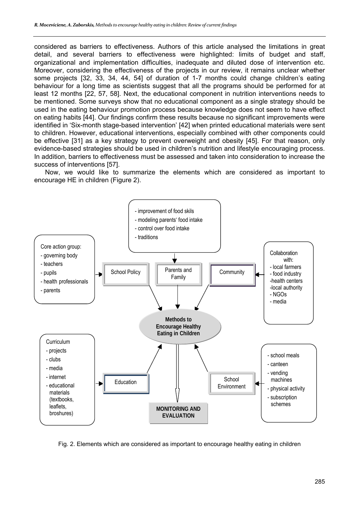considered as barriers to effectiveness. Authors of this article analysed the limitations in great detail, and several barriers to effectiveness were highlighted: limits of budget and staff, organizational and implementation difficulties, inadequate and diluted dose of intervention etc. Moreover, considering the effectiveness of the projects in our review, it remains unclear whether some projects [32, 33, 34, 44, 54] of duration of 1-7 months could change children's eating behaviour for a long time as scientists suggest that all the programs should be performed for at least 12 months [22, 57, 58]. Next, the educational component in nutrition interventions needs to be mentioned. Some surveys show that no educational component as a single strategy should be used in the eating behaviour promotion process because knowledge does not seem to have effect on eating habits [44]. Our findings confirm these results because no significant improvements were identified in 'Six-month stage-based intervention' [42] when printed educational materials were sent to children. However, educational interventions, especially combined with other components could be effective [31] as a key strategy to prevent overweight and obesity [45]. For that reason, only evidence-based strategies should be used in children's nutrition and lifestyle encouraging process. In addition, barriers to effectiveness must be assessed and taken into consideration to increase the success of interventions [57].

Now, we would like to summarize the elements which are considered as important to encourage HE in children (Figure 2).



Fig. 2. Elements which are considered as important to encourage healthy eating in children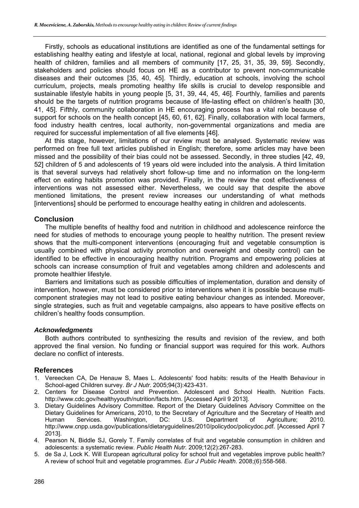Firstly, schools as educational institutions are identified as one of the fundamental settings for establishing healthy eating and lifestyle at local, national, regional and global levels by improving health of children, families and all members of community [17, 25, 31, 35, 39, 59]. Secondly, stakeholders and policies should focus on HE as a contributor to prevent non-communicable diseases and their outcomes [35, 40, 45]. Thirdly, education at schools, involving the school curriculum, projects, meals promoting healthy life skills is crucial to develop responsible and sustainable lifestyle habits in young people [5, 31, 39, 44, 45, 46]. Fourthly, families and parents should be the targets of nutrition programs because of life-lasting effect on children's health [30, 41, 45]. Fifthly, community collaboration in HE encouraging process has a vital role because of support for schools on the health concept [45, 60, 61, 62]. Finally, collaboration with local farmers, food industry health centres, local authority, non-governmental organizations and media are required for successful implementation of all five elements [46].

At this stage, however, limitations of our review must be analysed. Systematic review was performed on free full text articles published in English; therefore, some articles may have been missed and the possibility of their bias could not be assessed. Secondly, in three studies [42, 49, 52] children of 5 and adolescents of 19 years old were included into the analysis. A third limitation is that several surveys had relatively short follow-up time and no information on the long-term effect on eating habits promotion was provided. Finally, in the review the cost effectiveness of interventions was not assessed either. Nevertheless, we could say that despite the above mentioned limitations, the present review increases our understanding of what methods [interventions] should be performed to encourage healthy eating in children and adolescents.

# **Conclusion**

The multiple benefits of healthy food and nutrition in childhood and adolescence reinforce the need for studies of methods to encourage young people to healthy nutrition. The present review shows that the multi-component interventions (encouraging fruit and vegetable consumption is usually combined with physical activity promotion and overweight and obesity control) can be identified to be effective in encouraging healthy nutrition. Programs and empowering policies at schools can increase consumption of fruit and vegetables among children and adolescents and promote healthier lifestyle.

Barriers and limitations such as possible difficulties of implementation, duration and density of intervention, however, must be considered prior to interventions when it is possible because multicomponent strategies may not lead to positive eating behaviour changes as intended. Moreover, single strategies, such as fruit and vegetable campaigns, also appears to have positive effects on children's healthy foods consumption.

## *Acknowledgments*

Both authors contributed to synthesizing the results and revision of the review, and both approved the final version. No funding or financial support was required for this work. Authors declare no conflict of interests.

## **References**

- 1. Vereecken CA, De Henauw S, Maes L. Adolescents' food habits: results of the Health Behaviour in School-aged Children survey. *Br J Nutr*. 2005;94(3):423-431.
- 2. Centers for Disease Control and Prevention. Adolescent and School Health. Nutrition Facts. http://www.cdc.gov/healthyyouth/nutrition/facts.htm. [Accessed April 9 2013].
- 3. Dietary Guidelines Advisory Committee. Report of the Dietary Guidelines Advisory Committee on the Dietary Guidelines for Americans, 2010, to the Secretary of Agriculture and the Secretary of Health and Human Services. Washington, DC: U.S. Department of Agriculture; 2010. http://www.cnpp.usda.gov/publications/dietaryguidelines/2010/policydoc/policydoc.pdf. [Accessed April 7 2013].
- 4. Pearson N, Biddle SJ, Gorely T. Family correlates of fruit and vegetable consumption in children and adolescents: a systematic review. *Public Health Nutr.* 2009;12(2):267-283.
- 5. de Sa J, Lock K. Will European agricultural policy for school fruit and vegetables improve public health? A review of school fruit and vegetable programmes*. Eur J Public Health.* 2008;(6):558-568.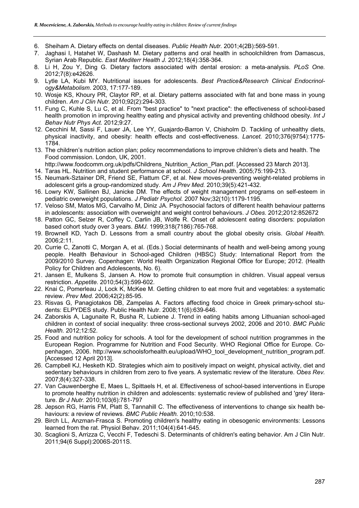- 6. Sheiham A. Dietary effects on dental diseases. *Public Health Nutr.* 2001;4(2B):569-591.
- 7. Jaghasi I, Hatahet W, Dashash M. Dietary patterns and oral health in schoolchildren from Damascus, Syrian Arab Republic. *East Mediterr Health J.* 2012;18(4):358-364.
- 8. Li H, Zou Y, Ding G. Dietary factors associated with dental erosion: a meta-analysis. *PLoS One.* 2012;7(8):e42626.
- 9. Lytle LA, Kubi MY. Nutritional issues for adolescents. *Best Practice&Research Clinical Endocrinology&Metabolism*. 2003, 17:177-189.
- 10. Wosje KS, Khoury PR, Claytor RP, et al. Dietary patterns associated with fat and bone mass in young children. *Am J Clin Nutr.* 2010;92(2):294-303.
- 11. Fung C, Kuhle S, Lu C, et al. From "best practice" to "next practice": the effectiveness of school-based health promotion in improving healthy eating and physical activity and preventing childhood obesity. *Int J Behav Nutr Phys Act.* 2012;9:27.
- 12. Cecchini M, Sassi F, Lauer JA, Lee YY, Guajardo-Barron V, Chisholm D. Tackling of unhealthy diets, physical inactivity, and obesity: health effects and cost-effectiveness. *Lancet.* 2010;376(9754):1775- 1784.
- 13. The children's nutrition action plan; policy recommendations to improve children's diets and health. The Food commission. London, UK, 2001.
	- http://www.foodcomm.org.uk/pdfs/Childrens\_Nutrition\_Action\_Plan.pdf. [Accessed 23 March 2013].
- 14. Taras HL. Nutrition and student performance at school. *J School Health*. 2005;75:199-213.
- 15. Neumark-Sztainer DR, Friend SE, Flattum CF, et al. New moves-preventing weight-related problems in adolescent girls a group-randomized study. *Am J Prev Med.* 2010;39(5):421-432.
- 16. Lowry KW, Sallinen BJ, Janicke DM. The effects of weight management programs on self-esteem in pediatric overweight populations. *J Pediatr Psychol.* 2007 Nov;32(10):1179-1195.
- 17. Veloso SM, Matos MG, Carvalho M, Diniz JA. Psychosocial factors of different health behaviour patterns in adolescents: association with overweight and weight control behaviours. *J Obes.* 2012;2012:852672
- 18. Patton GC, Selzer R, Coffey C, Carlin JB, Wolfe R. Onset of adolescent eating disorders: population based cohort study over 3 years. *BMJ.* 1999;318(7186):765-768.
- 19. Brownell KD, Yach D. Lessons from a small country about the global obesity crisis. *Global Health.* 2006;2:11.
- 20. Currie C, Zanotti C, Morgan A, et al. (Eds.) Social determinants of health and well-being among young people. Health Behaviour in School-aged Children (HBSC) Study: International Report from the 2009/2010 Survey. Copenhagen: World Health Organization Regional Office for Europe; 2012. (Health Policy for Children and Adolescents, No. 6).
- 21. Jansen E, Mulkens S, Jansen A. How to promote fruit consumption in children. Visual appeal versus restriction. *Appetite.* 2010;54(3):599-602.
- 22. Knai C, Pomerleau J, Lock K, McKee M. Getting children to eat more fruit and vegetables: a systematic review. *Prev Med.* 2006;42(2):85-95.
- 23. Risvas G, Panagiotakos DB, Zampelas A. Factors affecting food choice in Greek primary-school students: ELPYDES study. Public Health Nutr. 2008;11(6):639-646.
- 24. Zaborskis A, Lagunaite R, Busha R, Lubiene J. Trend in eating habits among Lithuanian school-aged children in context of social inequality: three cross-sectional surveys 2002, 2006 and 2010. *BMC Public Health.* 2012;12:52.
- 25. Food and nutrition policy for schools. A tool for the development of school nutrition programmes in the European Region. Programme for Nutrition and Food Security. WHO Regional Office for Europe. Copenhagen, 2006. http://www.schoolsforhealth.eu/upload/WHO\_tool\_development\_nutrition\_program.pdf. [Accessed 12 April 2013].
- 26. Campbell KJ, Hesketh KD. Strategies which aim to positively impact on weight, physical activity, diet and sedentary behaviours in children from zero to five years. A systematic review of the literature. *Obes Rev.* 2007;8(4):327-338.
- 27. Van Cauwenberghe E, Maes L, Spittaels H, et al. Effectiveness of school-based interventions in Europe to promote healthy nutrition in children and adolescents: systematic review of published and 'grey' literature. *Br J Nutr.* 2010;103(6):781-797
- 28. Jepson RG, Harris FM, Platt S, Tannahill C. The effectiveness of interventions to change six health behaviours: a review of reviews. *BMC Public Health.* 2010;10:538.
- 29. Birch LL, Anzman-Frasca S. Promoting children's healthy eating in obesogenic environments: Lessons learned from the rat. Physiol Behav. 2011;104(4):641-645.
- 30. Scaglioni S, Arrizza C, Vecchi F, Tedeschi S. Determinants of children's eating behavior. Am J Clin Nutr. 2011;94(6 Suppl):2006S-2011S.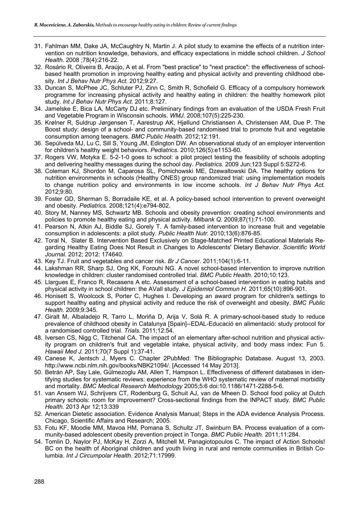- 31. Fahlman MM, Dake JA, McCaughtry N, Martin J. A pilot study to examine the effects of a nutrition intervention on nutrition knowledge, behaviors, and efficacy expectations in middle school children. *J School Health.* 2008 ;78(4):216-22.
- 32. Rosário R, Oliveira B, Araújo, A et al. From "best practice" to "next practice": the effectiveness of schoolbased health promotion in improving healthy eating and physical activity and preventing childhood obesity. *Int J Behav Nutr Phys Act.* 2012;9:27.
- 33. Duncan S, McPhee JC, Schluter PJ, Zinn C, Smith R, Schofield G. Efficacy of a compulsory homework programme for increasing physical activity and healthy eating in children: the healthy homework pilot study. *Int J Behav Nutr Phys Act.* 2011;8:127.
- 34. Jamelske E, Bica LA, McCarty DJ etc. Preliminary findings from an evaluation of the USDA Fresh Fruit and Vegetable Program in Wisconsin schools. *WMJ.* 2008;107(5):225-230.
- 35. Krølner R, Suldrup Jørgensen T, Aarestrup AK, Hjøllund Christiansen A, Christensen AM, Due P. The Boost study: design of a school- and community-based randomised trial to promote fruit and vegetable consumption among teenagers. *BMC Public Health.* 2012;12:191.
- 36. Sepúlveda MJ, Lu C, Sill S, Young JM, Edington DW. An observational study of an employer intervention for children's healthy weight behaviors. *Pediatrics.* 2010;126(5):e1153-60.
- 37. Rogers VW, Motyka E. 5-2-1-0 goes to school: a pilot project testing the feasibility of schools adopting and delivering healthy messages during the school day. *Pediatrics.* 2009 Jun;123 Suppl 5:S272-6.
- 38. Coleman KJ, Shordon M, Caparosa SL, Pomichowski ME, Dzewaltowski DA. The healthy options for nutrition environments in schools (Healthy ONES) group randomized trial: using implementation models to change nutrition policy and environments in low income schools. *Int J Behav Nutr Phys Act.* 2012;9:80.
- 39. Foster GD, Sherman S, Borradaile KE, et al. A policy-based school intervention to prevent overweight and obesity. *Pediatrics.* 2008;121(4):e794-802.
- 40. Story M, Nanney MS, Schwartz MB. Schools and obesity prevention: creating school environments and policies to promote healthy eating and physical activity. *Milbank Q.* 2009;87(1):71-100.
- 41. Pearson N, Atkin AJ, Biddle SJ, Gorely T. A family-based intervention to increase fruit and vegetable consumption in adolescents: a pilot study. *Public Health Nutr.* 2010;13(6):876-85.
- 42. Toral N, Slater B. Intervention Based Exclusively on Stage-Matched Printed Educational Materials Regarding Healthy Eating Does Not Result in Changes to Adolescents' Dietary Behavior. *Scientific World Journal.* 2012; 2012: 174640.
- 43. Key TJ. Fruit and vegetables and cancer risk. *Br J Cancer.* 2011;104(1):6-11.
- 44. Lakshman RR, Sharp SJ, Ong KK, Forouhi NG. A novel school-based intervention to improve nutrition knowledge in children: cluster randomised controlled trial. *BMC Public Health.* 2010;10:123.
- 45. Llargues E, Franco R, Recasens A etc. Assessment of a school-based intervention in eating habits and physical activity in school children: the AVall study. *J Epidemiol Commun H.* 2011;65(10):896-901.
- 46. Honisett S, Woolcock S, Porter C, Hughes I. Developing an award program for children's settings to support healthy eating and physical activity and reduce the risk of overweight and obesity. *BMC Public Health.* 2009;9:345.
- 47. Giralt M, Albaladejo R, Tarro L, Moriña D, Arija V, Solà R. A primary-school-based study to reduce prevalence of childhood obesity in Catalunya [Spain]--EDAL-Educació en alimentació: study protocol for a randomised controlled trial. *Trials.* 2011;12:54.
- 48. Iversen CS, Nigg C, Titchenal CA. The impact of an elementary after-school nutrition and physical activity program on children's fruit and vegetable intake, physical activity, and body mass index: Fun 5. *Hawaii Med J.* 2011;70(7 Suppl 1):37-41.
- 49. Canese K, Jentsch J, Myers C. Chapter 2PubMed: The Bibliographic Database. August 13, 2003. http://www.ncbi.nlm.nih.gov/books/NBK21094/. [Accessed 14 May 2013].
- 50. Betrán AP, Say Lale, Gülmezoglu AM, Allen T, Hampson L. Effectiveness of different databases in identifying studies for systematic reviews: experience from the WHO systematic review of maternal morbidity and mortality. *BMC Medical Research Methodology* 2005;5:6 doi:10.1186/1471-2288-5-6.
- 51. van Ansem WJ, Schrijvers CT, Rodenburg G, Schuit AJ, van de Mheen D. School food policy at Dutch primary schools: room for improvement? Cross-sectional findings from the INPACT study*. BMC Public Health.* 2013 Apr 12;13:339
- 52. American Dietetic association. Evidence Analysis Manual; Steps in the ADA evidence Analysis Process. Chicago, Scientific Affairs and Research; 2005.
- 53. Fotu KF, Moodie MM, Mavoa HM, Pomana S, Schultz JT, Swinburn BA. Process evaluation of a community-based adolescent obesity prevention project in Tonga. *BMC Public Health.* 2011;11:284.
- 54. Tomlin D, Naylor PJ, McKay H, Zorzi A, Mitchell M, Panagiotopoulos C. The impact of Action Schools! BC on the health of Aboriginal children and youth living in rural and remote communities in British Columbia. *Int J Circumpolar Health.* 2012;71:17999.